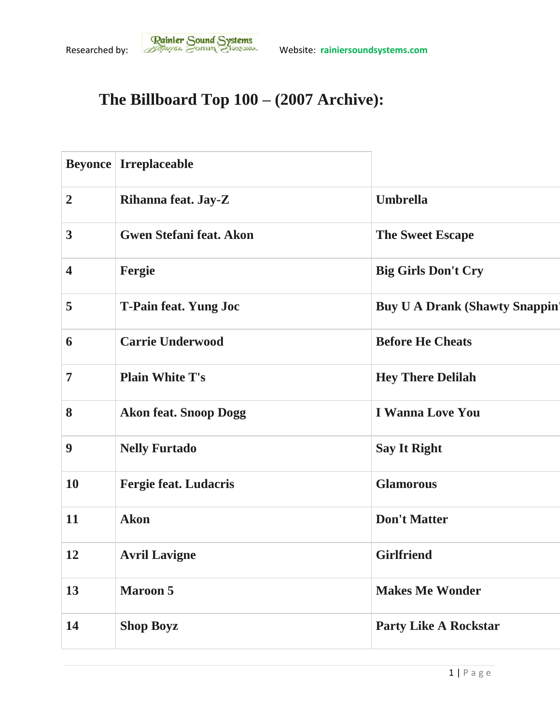## **The Billboard Top 100 – (2007 Archive):**

|                  | <b>Beyonce Irreplaceable</b>   |                                       |
|------------------|--------------------------------|---------------------------------------|
| $\overline{2}$   | Rihanna feat. Jay-Z            | <b>Umbrella</b>                       |
| $\mathbf{3}$     | <b>Gwen Stefani feat. Akon</b> | <b>The Sweet Escape</b>               |
| $\boldsymbol{4}$ | Fergie                         | <b>Big Girls Don't Cry</b>            |
| 5                | <b>T-Pain feat. Yung Joc</b>   | <b>Buy U A Drank (Shawty Snappin)</b> |
| 6                | <b>Carrie Underwood</b>        | <b>Before He Cheats</b>               |
| $\overline{7}$   | <b>Plain White T's</b>         | <b>Hey There Delilah</b>              |
| 8                | <b>Akon feat. Snoop Dogg</b>   | <b>I Wanna Love You</b>               |
| 9                | <b>Nelly Furtado</b>           | <b>Say It Right</b>                   |
| <b>10</b>        | <b>Fergie feat. Ludacris</b>   | <b>Glamorous</b>                      |
| 11               | <b>Akon</b>                    | <b>Don't Matter</b>                   |
| 12               | <b>Avril Lavigne</b>           | <b>Girlfriend</b>                     |
| 13               | <b>Maroon 5</b>                | <b>Makes Me Wonder</b>                |
| 14               | <b>Shop Boyz</b>               | <b>Party Like A Rockstar</b>          |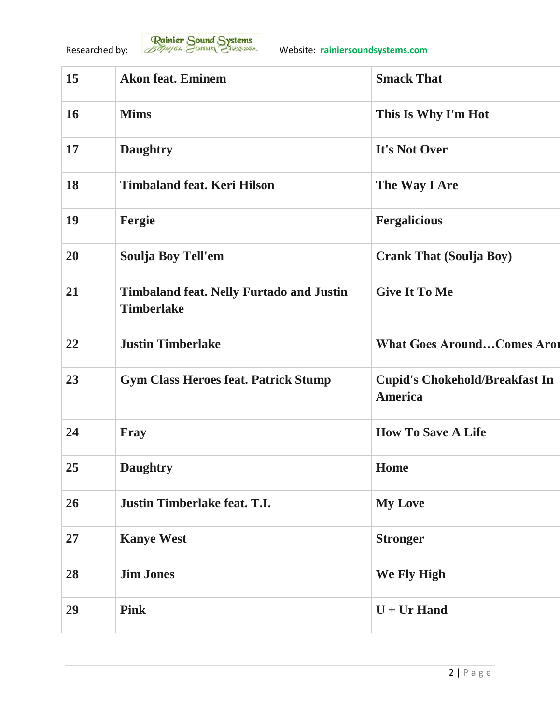| 15 | <b>Akon feat. Eminem</b>                                             | <b>Smack That</b>                                       |
|----|----------------------------------------------------------------------|---------------------------------------------------------|
| 16 | <b>Mims</b>                                                          | This Is Why I'm Hot                                     |
| 17 | <b>Daughtry</b>                                                      | It's Not Over                                           |
| 18 | <b>Timbaland feat. Keri Hilson</b>                                   | The Way I Are                                           |
| 19 | Fergie                                                               | <b>Fergalicious</b>                                     |
| 20 | <b>Soulja Boy Tell'em</b>                                            | <b>Crank That (Soulja Boy)</b>                          |
| 21 | <b>Timbaland feat. Nelly Furtado and Justin</b><br><b>Timberlake</b> | <b>Give It To Me</b>                                    |
| 22 | <b>Justin Timberlake</b>                                             | <b>What Goes AroundComes Arou</b>                       |
| 23 | <b>Gym Class Heroes feat. Patrick Stump</b>                          | <b>Cupid's Chokehold/Breakfast In</b><br><b>America</b> |
| 24 | Fray                                                                 | <b>How To Save A Life</b>                               |
| 25 | <b>Daughtry</b>                                                      | Home                                                    |
| 26 | <b>Justin Timberlake feat. T.I.</b>                                  | <b>My Love</b>                                          |
| 27 | <b>Kanye West</b>                                                    | <b>Stronger</b>                                         |
| 28 | <b>Jim Jones</b>                                                     | We Fly High                                             |
| 29 | <b>Pink</b>                                                          | $U + Ur$ Hand                                           |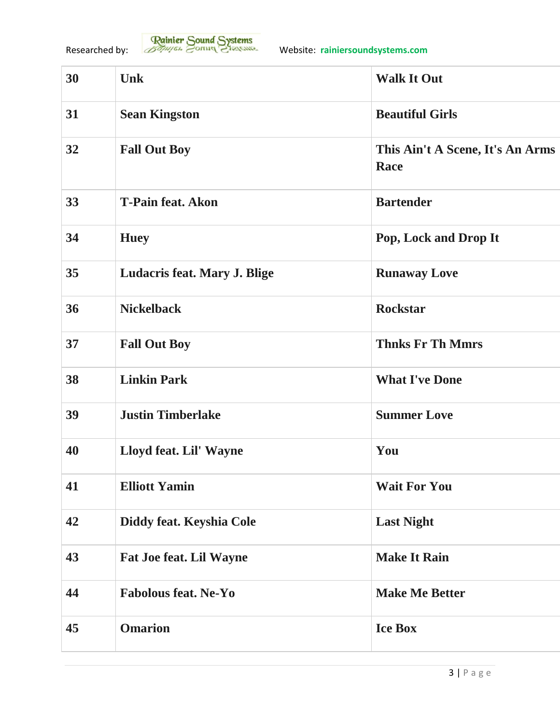| 30 | Unk                                 | <b>Walk It Out</b>                       |
|----|-------------------------------------|------------------------------------------|
| 31 | <b>Sean Kingston</b>                | <b>Beautiful Girls</b>                   |
| 32 | <b>Fall Out Boy</b>                 | This Ain't A Scene, It's An Arms<br>Race |
| 33 | <b>T-Pain feat. Akon</b>            | <b>Bartender</b>                         |
| 34 | <b>Huey</b>                         | Pop, Lock and Drop It                    |
| 35 | <b>Ludacris feat. Mary J. Blige</b> | <b>Runaway Love</b>                      |
| 36 | <b>Nickelback</b>                   | <b>Rockstar</b>                          |
| 37 | <b>Fall Out Boy</b>                 | <b>Thnks Fr Th Mmrs</b>                  |
| 38 | <b>Linkin Park</b>                  | <b>What I've Done</b>                    |
| 39 | <b>Justin Timberlake</b>            | <b>Summer Love</b>                       |
| 40 | Lloyd feat. Lil' Wayne              | You                                      |
| 41 | <b>Elliott Yamin</b>                | <b>Wait For You</b>                      |
| 42 | Diddy feat. Keyshia Cole            | <b>Last Night</b>                        |
| 43 | <b>Fat Joe feat. Lil Wayne</b>      | <b>Make It Rain</b>                      |
| 44 | <b>Fabolous feat. Ne-Yo</b>         | <b>Make Me Better</b>                    |
| 45 | <b>Omarion</b>                      | <b>Ice Box</b>                           |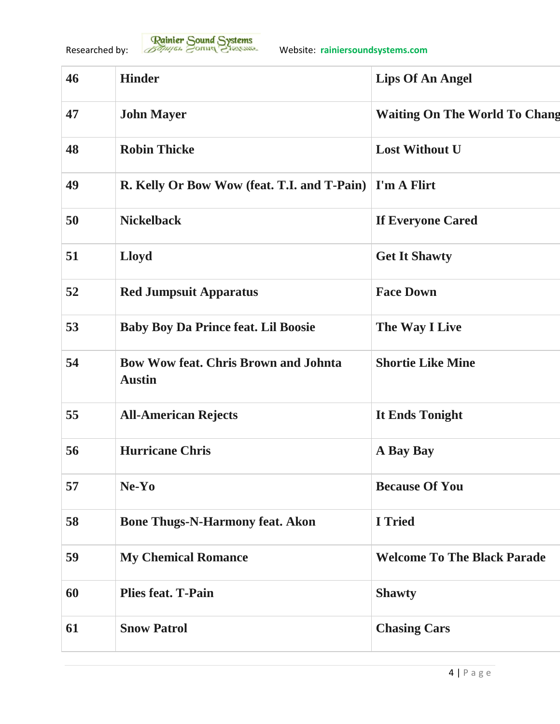| 46 | <b>Hinder</b>                                                | <b>Lips Of An Angel</b>              |
|----|--------------------------------------------------------------|--------------------------------------|
| 47 | <b>John Mayer</b>                                            | <b>Waiting On The World To Chang</b> |
| 48 | <b>Robin Thicke</b>                                          | <b>Lost Without U</b>                |
| 49 | R. Kelly Or Bow Wow (feat. T.I. and T-Pain)                  | I'm A Flirt                          |
| 50 | <b>Nickelback</b>                                            | <b>If Everyone Cared</b>             |
| 51 | <b>Lloyd</b>                                                 | <b>Get It Shawty</b>                 |
| 52 | <b>Red Jumpsuit Apparatus</b>                                | <b>Face Down</b>                     |
| 53 | <b>Baby Boy Da Prince feat. Lil Boosie</b>                   | The Way I Live                       |
| 54 | <b>Bow Wow feat. Chris Brown and Johnta</b><br><b>Austin</b> | <b>Shortie Like Mine</b>             |
| 55 | <b>All-American Rejects</b>                                  | It Ends Tonight                      |
| 56 | <b>Hurricane Chris</b>                                       | A Bay Bay                            |
| 57 | $Ne-Yo$                                                      | <b>Because Of You</b>                |
| 58 | <b>Bone Thugs-N-Harmony feat. Akon</b>                       | <b>I</b> Tried                       |
| 59 | <b>My Chemical Romance</b>                                   | <b>Welcome To The Black Parade</b>   |
| 60 | Plies feat. T-Pain                                           | <b>Shawty</b>                        |
| 61 | <b>Snow Patrol</b>                                           | <b>Chasing Cars</b>                  |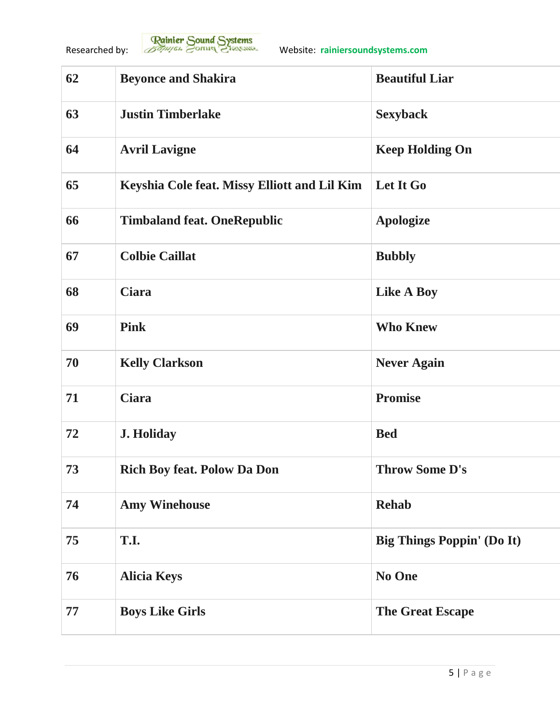| 62 | <b>Beyonce and Shakira</b>                   | <b>Beautiful Liar</b>             |
|----|----------------------------------------------|-----------------------------------|
| 63 | <b>Justin Timberlake</b>                     | <b>Sexyback</b>                   |
| 64 | <b>Avril Lavigne</b>                         | <b>Keep Holding On</b>            |
| 65 | Keyshia Cole feat. Missy Elliott and Lil Kim | Let It Go                         |
| 66 | <b>Timbaland feat. OneRepublic</b>           | <b>Apologize</b>                  |
| 67 | <b>Colbie Caillat</b>                        | <b>Bubbly</b>                     |
| 68 | Ciara                                        | <b>Like A Boy</b>                 |
| 69 | <b>Pink</b>                                  | <b>Who Knew</b>                   |
| 70 | <b>Kelly Clarkson</b>                        | <b>Never Again</b>                |
| 71 | <b>Ciara</b>                                 | <b>Promise</b>                    |
| 72 | J. Holiday                                   | <b>Bed</b>                        |
| 73 | <b>Rich Boy feat. Polow Da Don</b>           | <b>Throw Some D's</b>             |
| 74 | <b>Amy Winehouse</b>                         | <b>Rehab</b>                      |
| 75 | T.I.                                         | <b>Big Things Poppin' (Do It)</b> |
| 76 | <b>Alicia Keys</b>                           | No One                            |
| 77 | <b>Boys Like Girls</b>                       | <b>The Great Escape</b>           |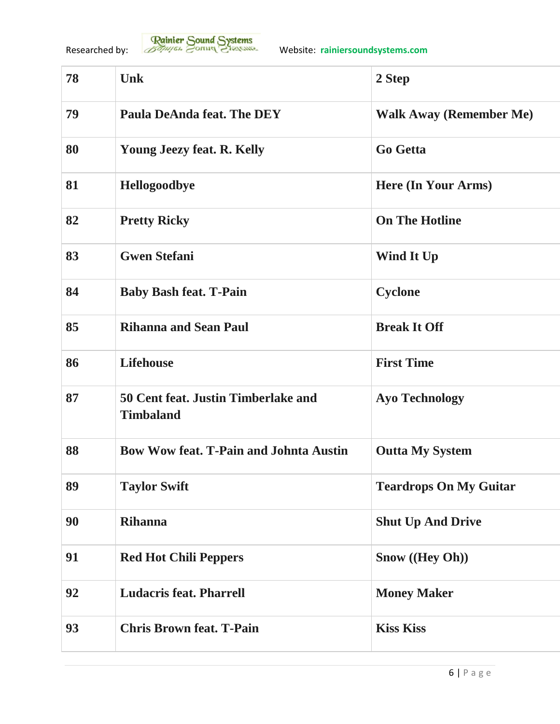| 78 | Unk                                                     | 2 Step                         |
|----|---------------------------------------------------------|--------------------------------|
| 79 | <b>Paula DeAnda feat. The DEY</b>                       | <b>Walk Away (Remember Me)</b> |
| 80 | <b>Young Jeezy feat. R. Kelly</b>                       | <b>Go Getta</b>                |
| 81 | Hellogoodbye                                            | Here (In Your Arms)            |
| 82 | <b>Pretty Ricky</b>                                     | <b>On The Hotline</b>          |
| 83 | <b>Gwen Stefani</b>                                     | Wind It Up                     |
| 84 | <b>Baby Bash feat. T-Pain</b>                           | <b>Cyclone</b>                 |
| 85 | <b>Rihanna and Sean Paul</b>                            | <b>Break It Off</b>            |
| 86 | <b>Lifehouse</b>                                        | <b>First Time</b>              |
| 87 | 50 Cent feat. Justin Timberlake and<br><b>Timbaland</b> | <b>Ayo Technology</b>          |
| 88 | <b>Bow Wow feat. T-Pain and Johnta Austin</b>           | <b>Outta My System</b>         |
| 89 | <b>Taylor Swift</b>                                     | <b>Teardrops On My Guitar</b>  |
| 90 | <b>Rihanna</b>                                          | <b>Shut Up And Drive</b>       |
| 91 | <b>Red Hot Chili Peppers</b>                            | Snow ((Hey Oh))                |
| 92 | <b>Ludacris feat. Pharrell</b>                          | <b>Money Maker</b>             |
| 93 | <b>Chris Brown feat. T-Pain</b>                         | <b>Kiss Kiss</b>               |